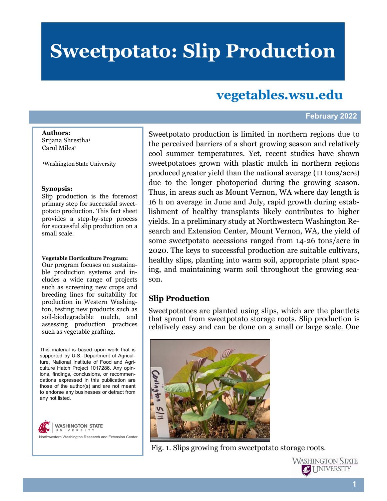# **Sweetpotato: Slip Production**

## **vegetables.wsu.edu**

#### **February 2022**

**Authors:**  Srijana Shrestha<sup>1</sup> Carol Miles<sup>1</sup>

<sup>1</sup>Washington State University

#### **Synopsis:**

Slip production is the foremost primary step for successful sweetpotato production. This fact sheet provides a step-by-step process for successful slip production on a small scale.

#### **Vegetable Horticulture Program:**

Our program focuses on sustainable production systems and includes a wide range of projects such as screening new crops and breeding lines for suitability for production in Western Washington, testing new products such as soil-biodegradable mulch, and assessing production practices such as vegetable grafting.

This material is based upon work that is supported by U.S. Department of Agriculture, National Institute of Food and Agriculture Hatch Project 1017286. Any opinions, findings, conclusions, or recommendations expressed in this publication are those of the author(s) and are not meant to endorse any businesses or detract from any not listed.

**WASHINGTON STATE** UNIVERSIT Northwestern Washington Research and Extension Center Sweetpotato production is limited in northern regions due to the perceived barriers of a short growing season and relatively cool summer temperatures. Yet, recent studies have shown sweetpotatoes grown with plastic mulch in northern regions produced greater yield than the national average (11 tons/acre) due to the longer photoperiod during the growing season. Thus, in areas such as Mount Vernon, WA where day length is 16 h on average in June and July, rapid growth during establishment of healthy transplants likely contributes to higher yields. In a preliminary study at Northwestern Washington Research and Extension Center, Mount Vernon, WA, the yield of some sweetpotato accessions ranged from 14-26 tons/acre in 2020. The keys to successful production are suitable cultivars, healthy slips, planting into warm soil, appropriate plant spacing, and maintaining warm soil throughout the growing season.

### **Slip Production**

Sweetpotatoes are planted using slips, which are the plantlets that sprout from sweetpotato storage roots. Slip production is relatively easy and can be done on a small or large scale. One



Fig. 1. Slips growing from sweetpotato storage roots.